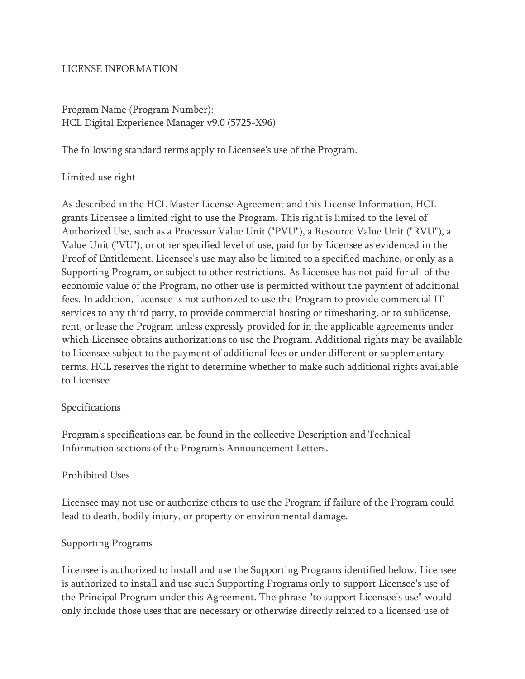### LICENSE INFORMATION

Program Name (Program Number): HCL Digital Experience Manager v9.0 (5725-X96)

The following standard terms apply to Licensee's use of the Program.

### Limited use right

As described in the HCL Master License Agreement and this License Information, HCL grants Licensee a limited right to use the Program. This right is limited to the level of Authorized Use, such as a Processor Value Unit ("PVU"), a Resource Value Unit ("RVU"), a Value Unit ("VU"), or other specified level of use, paid for by Licensee as evidenced in the Proof of Entitlement. Licensee's use may also be limited to a specified machine, or only as a Supporting Program, or subject to other restrictions. As Licensee has not paid for all of the economic value of the Program, no other use is permitted without the payment of additional fees. In addition, Licensee is not authorized to use the Program to provide commercial IT services to any third party, to provide commercial hosting or timesharing, or to sublicense, rent, or lease the Program unless expressly provided for in the applicable agreements under which Licensee obtains authorizations to use the Program. Additional rights may be available to Licensee subject to the payment of additional fees or under different or supplementary terms. HCL reserves the right to determine whether to make such additional rights available to Licensee.

#### Specifications

Program's specifications can be found in the collective Description and Technical Information sections of the Program's Announcement Letters.

#### Prohibited Uses

Licensee may not use or authorize others to use the Program if failure of the Program could lead to death, bodily injury, or property or environmental damage.

#### Supporting Programs

Licensee is authorized to install and use the Supporting Programs identified below. Licensee is authorized to install and use such Supporting Programs only to support Licensee's use of the Principal Program under this Agreement. The phrase "to support Licensee's use" would only include those uses that are necessary or otherwise directly related to a licensed use of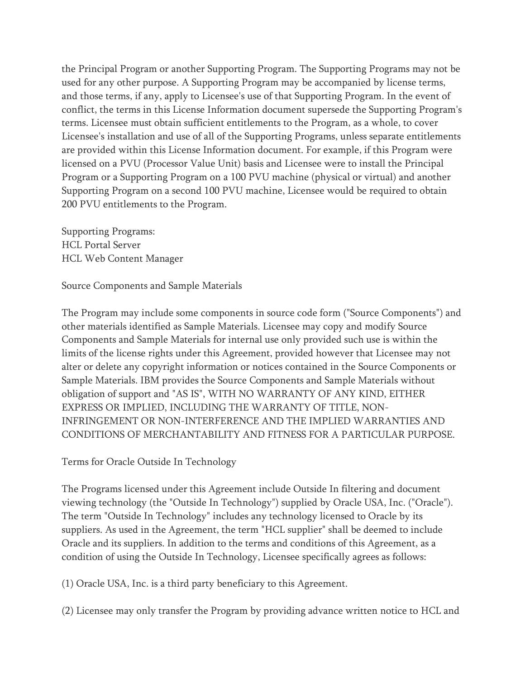the Principal Program or another Supporting Program. The Supporting Programs may not be used for any other purpose. A Supporting Program may be accompanied by license terms, and those terms, if any, apply to Licensee's use of that Supporting Program. In the event of conflict, the terms in this License Information document supersede the Supporting Program's terms. Licensee must obtain sufficient entitlements to the Program, as a whole, to cover Licensee's installation and use of all of the Supporting Programs, unless separate entitlements are provided within this License Information document. For example, if this Program were licensed on a PVU (Processor Value Unit) basis and Licensee were to install the Principal Program or a Supporting Program on a 100 PVU machine (physical or virtual) and another Supporting Program on a second 100 PVU machine, Licensee would be required to obtain 200 PVU entitlements to the Program.

Supporting Programs: HCL Portal Server HCL Web Content Manager

Source Components and Sample Materials

The Program may include some components in source code form ("Source Components") and other materials identified as Sample Materials. Licensee may copy and modify Source Components and Sample Materials for internal use only provided such use is within the limits of the license rights under this Agreement, provided however that Licensee may not alter or delete any copyright information or notices contained in the Source Components or Sample Materials. IBM provides the Source Components and Sample Materials without obligation of support and "AS IS", WITH NO WARRANTY OF ANY KIND, EITHER EXPRESS OR IMPLIED, INCLUDING THE WARRANTY OF TITLE, NON-INFRINGEMENT OR NON-INTERFERENCE AND THE IMPLIED WARRANTIES AND CONDITIONS OF MERCHANTABILITY AND FITNESS FOR A PARTICULAR PURPOSE.

Terms for Oracle Outside In Technology

The Programs licensed under this Agreement include Outside In filtering and document viewing technology (the "Outside In Technology") supplied by Oracle USA, Inc. ("Oracle"). The term "Outside In Technology" includes any technology licensed to Oracle by its suppliers. As used in the Agreement, the term "HCL supplier" shall be deemed to include Oracle and its suppliers. In addition to the terms and conditions of this Agreement, as a condition of using the Outside In Technology, Licensee specifically agrees as follows:

(1) Oracle USA, Inc. is a third party beneficiary to this Agreement.

(2) Licensee may only transfer the Program by providing advance written notice to HCL and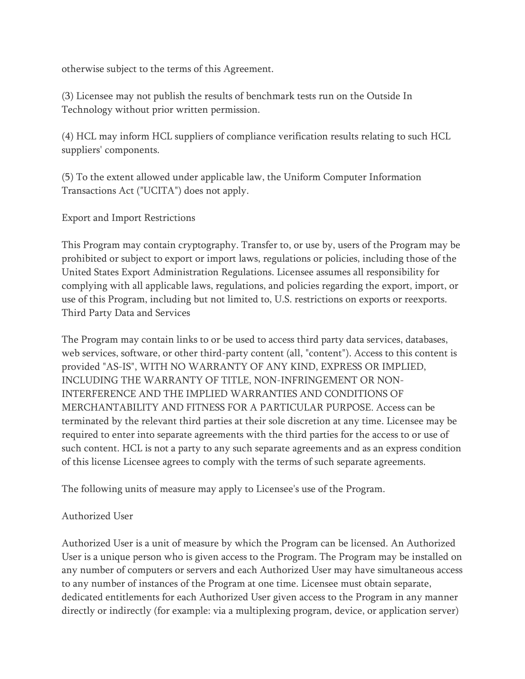otherwise subject to the terms of this Agreement.

(3) Licensee may not publish the results of benchmark tests run on the Outside In Technology without prior written permission.

(4) HCL may inform HCL suppliers of compliance verification results relating to such HCL suppliers' components.

(5) To the extent allowed under applicable law, the Uniform Computer Information Transactions Act ("UCITA") does not apply.

Export and Import Restrictions

This Program may contain cryptography. Transfer to, or use by, users of the Program may be prohibited or subject to export or import laws, regulations or policies, including those of the United States Export Administration Regulations. Licensee assumes all responsibility for complying with all applicable laws, regulations, and policies regarding the export, import, or use of this Program, including but not limited to, U.S. restrictions on exports or reexports. Third Party Data and Services

The Program may contain links to or be used to access third party data services, databases, web services, software, or other third-party content (all, "content"). Access to this content is provided "AS-IS", WITH NO WARRANTY OF ANY KIND, EXPRESS OR IMPLIED, INCLUDING THE WARRANTY OF TITLE, NON-INFRINGEMENT OR NON-INTERFERENCE AND THE IMPLIED WARRANTIES AND CONDITIONS OF MERCHANTABILITY AND FITNESS FOR A PARTICULAR PURPOSE. Access can be terminated by the relevant third parties at their sole discretion at any time. Licensee may be required to enter into separate agreements with the third parties for the access to or use of such content. HCL is not a party to any such separate agreements and as an express condition of this license Licensee agrees to comply with the terms of such separate agreements.

The following units of measure may apply to Licensee's use of the Program.

# Authorized User

Authorized User is a unit of measure by which the Program can be licensed. An Authorized User is a unique person who is given access to the Program. The Program may be installed on any number of computers or servers and each Authorized User may have simultaneous access to any number of instances of the Program at one time. Licensee must obtain separate, dedicated entitlements for each Authorized User given access to the Program in any manner directly or indirectly (for example: via a multiplexing program, device, or application server)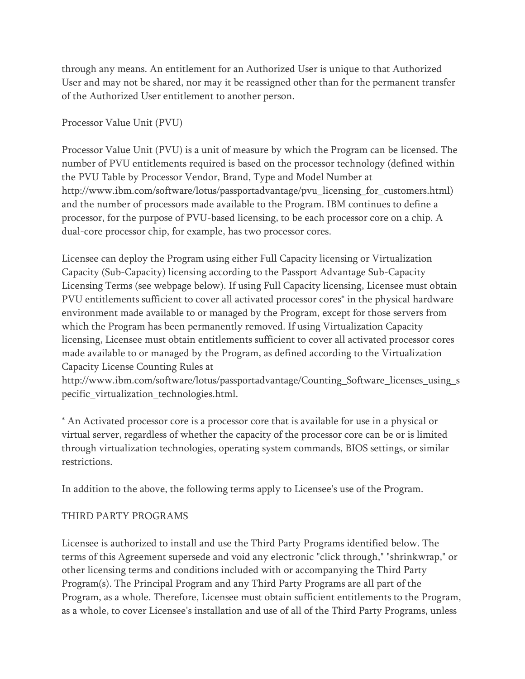through any means. An entitlement for an Authorized User is unique to that Authorized User and may not be shared, nor may it be reassigned other than for the permanent transfer of the Authorized User entitlement to another person.

Processor Value Unit (PVU)

Processor Value Unit (PVU) is a unit of measure by which the Program can be licensed. The number of PVU entitlements required is based on the processor technology (defined within the PVU Table by Processor Vendor, Brand, Type and Model Number at http://www.ibm.com/software/lotus/passportadvantage/pvu\_licensing\_for\_customers.html) and the number of processors made available to the Program. IBM continues to define a processor, for the purpose of PVU-based licensing, to be each processor core on a chip. A dual-core processor chip, for example, has two processor cores.

Licensee can deploy the Program using either Full Capacity licensing or Virtualization Capacity (Sub-Capacity) licensing according to the Passport Advantage Sub-Capacity Licensing Terms (see webpage below). If using Full Capacity licensing, Licensee must obtain PVU entitlements sufficient to cover all activated processor cores\* in the physical hardware environment made available to or managed by the Program, except for those servers from which the Program has been permanently removed. If using Virtualization Capacity licensing, Licensee must obtain entitlements sufficient to cover all activated processor cores made available to or managed by the Program, as defined according to the Virtualization Capacity License Counting Rules at

http://www.ibm.com/software/lotus/passportadvantage/Counting\_Software\_licenses\_using\_s pecific\_virtualization\_technologies.html.

\* An Activated processor core is a processor core that is available for use in a physical or virtual server, regardless of whether the capacity of the processor core can be or is limited through virtualization technologies, operating system commands, BIOS settings, or similar restrictions.

In addition to the above, the following terms apply to Licensee's use of the Program.

# THIRD PARTY PROGRAMS

Licensee is authorized to install and use the Third Party Programs identified below. The terms of this Agreement supersede and void any electronic "click through," "shrinkwrap," or other licensing terms and conditions included with or accompanying the Third Party Program(s). The Principal Program and any Third Party Programs are all part of the Program, as a whole. Therefore, Licensee must obtain sufficient entitlements to the Program, as a whole, to cover Licensee's installation and use of all of the Third Party Programs, unless